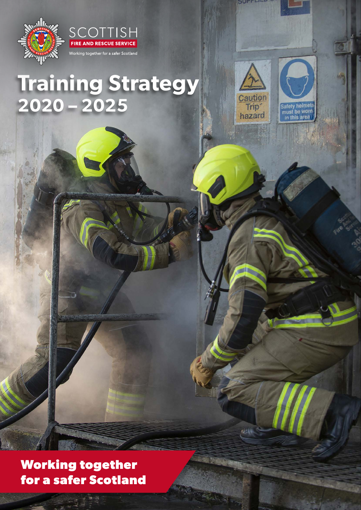



# **Training Strategy 2020 – 2025**



 $\mathcal{L}(\xi)$ 



**Working together for a safer Scotland**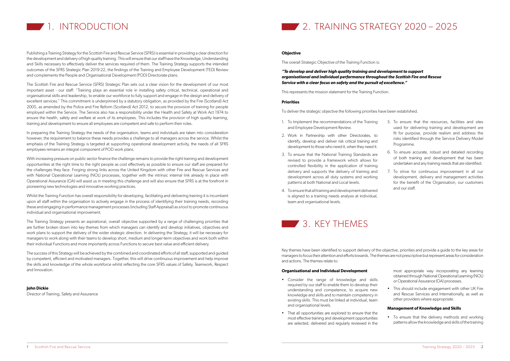

Publishing a Training Strategy for the Scottish Fire and Rescue Service (SFRS) is essential in providing a clear direction for the development and delivery of high quality training. This will ensure that our staff have the Knowledge, Understanding and Skills necessary to effectively deliver the services required of them. The Training Strategy supports the intended outcomes of the SFRS Strategic Plan 2019-22, the findings of the Training and Employee Development (TED) Review and complements the People and Organisational Development (POD) Directorate plans.

The Scottish Fire and Rescue Service (SFRS) Strategic Plan sets out a clear vision for the development of our most important asset - our staff: "Training plays an essential role in installing safety critical, technical, operational and organisational skills and leadership, to enable our workforce to fully support and engage in the design and delivery of excellent services." This commitment is underpinned by a statutory obligation, as provided by the Fire (Scotland) Act 2005, as amended by the Police and Fire Reform (Scotland) Act 2012, to secure the provision of training for people employed within the Service. The Service also has a responsibility under the Health and Safety at Work Act 1974 to ensure the health, safety and welfare at work of its employees. This includes the provision of high quality learning, training and development to ensure all employees are competent and safe to perform their roles.

With increasing pressure on public sector finance the challenge remains to provide the right training and development opportunities at the right time to the right people as cost effectively as possible to ensure our staff are prepared for the challenges they face. Forging strong links across the United Kingdom with other Fire and Rescue Services and with National Operational Learning (NOL) processes, together with the intrinsic internal link already in place with Operational Assurance (OA) will assist us in meeting this challenge and will also ensure that SFRS is at the forefront in pioneering new technologies and innovative working practices.

In preparing the Training Strategy the needs of the organisation, teams and individuals are taken into consideration however, the requirement to balance these needs provides a challenge to all managers across the service. Whilst the emphasis of the Training Strategy is targeted at supporting operational development activity, the needs of all SFRS employees remains an integral component of POD work plans.

Whilst the Training Function has overall responsibility for developing, facilitating and delivering training it is incumbent upon all staff within the organisation to actively engage in the process of identifying their training needs, recording these and engaging in performance management processes (including Staff Appraisal) as a tool to promote continuous individual and organisational improvement.

The Training Strategy presents an aspirational, overall objective supported by a range of challenging priorities that are further broken down into key themes from which managers can identify and develop initiatives, objectives and work plans to support the delivery of the wider strategic direction. In delivering the Strategy, it will be necessary for managers to work along with their teams to develop short, medium and longer-term objectives and work both within their individual Functions and more importantly across Functions to secure best value and efficient delivery.

The success of this Strategy will be achieved by the combined and coordinated efforts of all staff, supported and guided by competent, efficient and motivated managers. Together, this will drive continuous improvement and help improve the skills and knowledge of the whole workforce whilst reflecting the core SFRS values of Safety, Teamwork, Respect and Innovation.

**John Dickie** Director of Training, Safety and Assurance



#### **Objective**

The overall Strategic Objective of the Training Function is:

*"To develop and deliver high quality training and development to support organisational and individual performance throughout the Scottish Fire and Rescue Service with a clear focus on safety and the pursuit of excellence."*

This represents the mission statement for the Training Function.

#### **Priorities**

To deliver the strategic objective the following priorities have been established.

- 1. To Implement the recommendations of the Training and Employee Development Review.
- 2. Work in Partnership with other Directorates, to identify, develop and deliver risk critical training and development to those who need it, when they need it.
- 3. To ensure that the National Training Standards are revised to provide a framework which allows for controlled flexibility in the application of training delivery and supports the delivery of training and development across all duty systems and working patterns at both National and Local levels.
- 4. To ensure that all training and development delivered is aligned to a training needs analysis at individual, team and organisational levels.
- 5. To ensure that the resources, facilities and sites used for delivering training and development are fit for purpose, provide realism and address the risks identified through the Service Delivery Model Programme.
- 6. To ensure accurate, robust and detailed recording of both training and development that has been undertaken and any training needs that are identified.
- 7. To strive for continuous improvement in all our development, delivery and management activities for the benefit of the Organisation, our customers and our staff.



#### **Organisational and Individual Development**

- Consider the range of knowledge and skills required by our staff to enable them to develop their understanding and competence, to acquire new knowledge and skills and to maintain competency in existing skills. This must be linked at individual, team and organisational levels.
- That all opportunities are explored to ensure that the most effective training and development opportunities are selected, delivered and regularly reviewed in the

most appropriate way incorporating any learning obtained through National Operational Learning (NOL) or Operational Assurance (OA) processes.

• This should include engagement with other UK Fire and Rescue Services and Internationally, as well as other providers where appropriate.

#### **Management of Knowledge and Skills**

• To ensure that the delivery methods and working patterns allow the knowledge and skills of the training

Key themes have been identified to support delivery of the objective, priorities and provide a guide to the key areas for managers to focus their attention and efforts towards. The themes are not prescriptive but represent areas for consideration and actions. The themes relate to: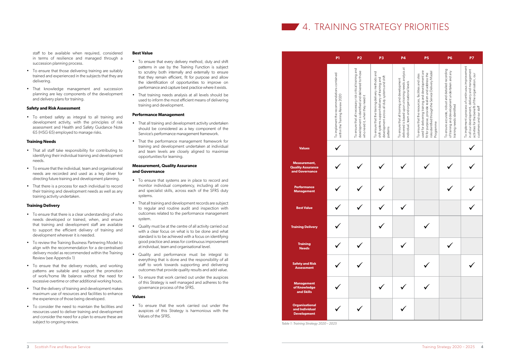## **4. TRAINING STRATEGY PRIORITIES**

staff to be available when required, considered in terms of resilience and managed through a succession planning process.

- To ensure that those delivering training are suitably trained and experienced in the subjects that they are delivering.
- That knowledge management and succession planning are key components of the development and delivery plans for training.

#### **Safety and Risk Assessment**

• To embed safety as integral to all training and development activity, with the principles of risk assessment and Health and Safety Guidance Note 65 (HSG 65) employed to manage risks.

#### **Training Needs**

- That all staff take responsibility for contributing to identifying their individual training and development needs.
- To ensure that the individual, team and organisational needs are recorded and used as a key driver for directing future training and development planning.
- That there is a process for each individual to record their training and development needs as well as any training activity undertaken.

#### **Training Delivery**

- To ensure that there is a clear understanding of who needs developed or trained, when, and ensure that training and development staff are available to support the efficient delivery of training and development wherever it is needed.
- To review the Training Business Partnering Model to align with the recommendation for a de-centralised delivery model as recommended within the Training Review (see Appendix 1)
- To ensure that the delivery models, and working patterns are suitable and support the promotion of work/home life balance without the need for excessive overtime or other additional working hours.
- That the delivery of training and development makes maximum use of resources and facilities to enhance the experience of those being developed.
- To consider the need to maintain the facilities and resources used to deliver training and development and consider the need for a plan to ensure these are subject to ongoing review.

#### **Best Value**

- To ensure that every delivery method, duty and shift patterns in use by the Training Function is subject to scrutiny both internally and externally to ensure that they remain efficient, fit for purpose and allow the identification of opportunities to improve on performance and capture best practice where it exists.
- That training needs analysis at all levels should be used to inform the most efficient means of delivering training and development.

#### **Performance Management**

- That all training and development activity undertaken should be considered as a key component of the Service's performance management framework.
- That the performance management framework for training and development undertaken at individual and team levels are closely aligned to maximise opportunities for learning.

#### **Measurement, Quality Assurance and Governance**

- To ensure that systems are in place to record and monitor individual competency, including all core and specialist skills, across each of the SFRS duty systems.
- That all training and development records are subject to regular and routine audit and inspection with outcomes related to the performance management system.
- Quality must be at the centre of all activity carried out with a clear focus on what is to be done and what standard is to be achieved with a focus on identifying good practice and areas for continuous improvement at individual, team and organisational level.
- Quality and performance must be integral to everything that is done and the responsibility of all staff to work towards supporting and delivering outcomes that provide quality results and add value.
- To ensure that work carried out under the auspices of this Strategy is well managed and adheres to the governance process of the SFRS.

#### **Values**

• To ensure that the work carried out under the auspices of this Strategy is harmonious with the Values of the SFRS.

**Organisational and Individual Development**

**Management of Knowledge and Skills**

**Safety and Risk Assessment**

**Training Needs**

ü

ü

ü

ü



**P1**

containe

To implement the recommendations<br>within the Training Review 2020

ü

ü

ü

who need it, when they need it

**P2**

Il necessary risk critical training<br>identified and delivered to thos<br>en they need it

ü

ü

ü

ü

ü

To ensure that the training delivery methods and shift systems support delivery of training and

that the training deli<br>ms support delivery

 $\overline{C}$  or  $\overline{C}$ 

ng a

**P3**

|                                                           | P <sub>4</sub>                                                                                                                                    | P <sub>5</sub>                                                                                                                                                                                                                 | $\overline{\mathsf{P6}}$                                                                                                         | P7                                                                                                                                                                                    |
|-----------------------------------------------------------|---------------------------------------------------------------------------------------------------------------------------------------------------|--------------------------------------------------------------------------------------------------------------------------------------------------------------------------------------------------------------------------------|----------------------------------------------------------------------------------------------------------------------------------|---------------------------------------------------------------------------------------------------------------------------------------------------------------------------------------|
| development across all duty systems and shift<br>patterns | delivered is based upon a training needs analysis at<br>To ensure that all training and development<br>individual, team and organisational levels | used for delivering training and development are<br>risks identified through the Service Delivery Model<br>fit for purpose, provide realism and address the<br>To ensure that the resources, facilities and sites<br>Programme | To ensure accurate, robust and detailed recording<br>of training and development undertaken and any<br>training needs identified | To implement a process of continuous improvement<br>in all our development, delivery and management<br>activities for the benefit of the organisation, our<br>customers and our staff |
|                                                           |                                                                                                                                                   |                                                                                                                                                                                                                                |                                                                                                                                  |                                                                                                                                                                                       |
|                                                           |                                                                                                                                                   |                                                                                                                                                                                                                                |                                                                                                                                  |                                                                                                                                                                                       |
|                                                           |                                                                                                                                                   |                                                                                                                                                                                                                                |                                                                                                                                  |                                                                                                                                                                                       |
|                                                           |                                                                                                                                                   |                                                                                                                                                                                                                                |                                                                                                                                  |                                                                                                                                                                                       |
|                                                           |                                                                                                                                                   |                                                                                                                                                                                                                                |                                                                                                                                  |                                                                                                                                                                                       |
|                                                           |                                                                                                                                                   |                                                                                                                                                                                                                                |                                                                                                                                  |                                                                                                                                                                                       |
|                                                           |                                                                                                                                                   |                                                                                                                                                                                                                                |                                                                                                                                  |                                                                                                                                                                                       |
|                                                           |                                                                                                                                                   |                                                                                                                                                                                                                                |                                                                                                                                  |                                                                                                                                                                                       |
|                                                           |                                                                                                                                                   |                                                                                                                                                                                                                                |                                                                                                                                  |                                                                                                                                                                                       |

*Table 1: Training Strategy 2020 – 2025*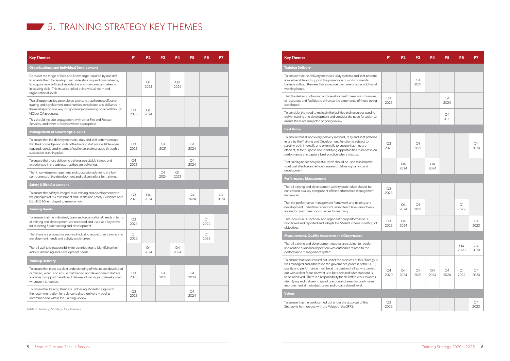### **5. TRAINING STRATEGY KEY THEMES**

| <b>Key Themes</b>                                                                                                                                                                                                                                                                                          | P1                     | P <sub>2</sub> | P <sub>3</sub> | <b>P4</b>  | <b>P5</b>  | P6         | P7         |
|------------------------------------------------------------------------------------------------------------------------------------------------------------------------------------------------------------------------------------------------------------------------------------------------------------|------------------------|----------------|----------------|------------|------------|------------|------------|
| <b>Organisational and Individual Development</b>                                                                                                                                                                                                                                                           |                        |                |                |            |            |            |            |
| Consider the range of skills and knowledge required by our staff<br>to enable them to develop their understanding and competence,<br>to acquire new skills and knowledge and maintain competency<br>in existing skills. This must be linked at individual, team and<br>organisational levels.              |                        | Q4<br>2024     |                | Q4<br>2024 |            |            |            |
| That all opportunities are explored to ensure that the most effective<br>training and development opportunities are selected and delivered in<br>the most appropriate way incorporating any learning obtained through<br>NOL or OA processes.<br>This should include engagement with other Fire and Rescue | Q <sub>3</sub><br>2023 | Q4<br>2024     |                |            |            |            |            |
| Services, and other providers where appropriate.                                                                                                                                                                                                                                                           |                        |                |                |            |            |            |            |
| <b>Management of Knowledge &amp; Skills</b><br>To ensure that the delivery methods, duty and shift patterns ensure<br>that the knowledge and skills of the training staff are available when<br>required, considered in terms of resilience and managed through a<br>succession planning plan.             | Q <sub>3</sub><br>2023 |                | Q1<br>2021     |            | Q4<br>2024 |            |            |
| To ensure that those delivering training are suitably trained and<br>experienced in the subjects that they are delivering.                                                                                                                                                                                 | Q4<br>2023             |                |                |            | Q4<br>2024 |            |            |
| That knowledge management and succession planning are key<br>components of the development and delivery plans for training.                                                                                                                                                                                |                        |                | Q1<br>2024     | Q1<br>2021 |            |            |            |
| <b>Safety &amp; Risk Assessment</b>                                                                                                                                                                                                                                                                        |                        |                |                |            |            |            |            |
| To ensure that safety is integral to all training and development with<br>the principles of risk assessment and Health and Safety Guidance note<br>65 (HSG 65) employed to manage risks.                                                                                                                   | Q <sub>3</sub><br>2023 | Q4<br>2024     |                |            | Q4<br>2024 |            | Q4<br>2020 |
| <b>Training Needs</b>                                                                                                                                                                                                                                                                                      |                        |                |                |            |            |            |            |
| To ensure that the individual, team and organisational needs in terms<br>of training and development are recorded and used as a key driver<br>for directing future training and development.                                                                                                               | Q <sub>3</sub><br>2023 |                |                |            |            | Q1<br>2022 |            |
| That there is a process for each individual to record their training and<br>development needs and activity undertaken.                                                                                                                                                                                     | Q1<br>2022             |                |                |            |            | Q1<br>2022 |            |
| That all staff take responsibility for contributing to identifying their<br>individual training and development needs.                                                                                                                                                                                     |                        | Q4<br>2024     |                | Q4<br>2024 |            |            |            |
| <b>Training Delivery</b>                                                                                                                                                                                                                                                                                   |                        |                |                |            |            |            |            |
| To ensure that there is a clear understanding of who needs developed<br>or trained, when, and ensure that training and development staff are<br>available to support the efficient delivery of training and development<br>wherever it is needed.                                                          | Q <sub>3</sub><br>2023 |                | Q1<br>2021     |            | Q4<br>2024 |            |            |
| To review the Training Business Partnering Model to align with<br>the recommendation for a de-centralised delivery model as<br>recommended within the Training Review.                                                                                                                                     | Q <sub>3</sub><br>2023 |                |                |            | Q4<br>2024 |            |            |

#### **Training Delivery**

To ensure that the delivery methods, duty systems and shift patterns are deliverable and support the promotion of work/home life balance without the need for excessive overtime or other additional working hours.

That the delivery of training and development makes maximum use of resources and facilities to enhance the experience of those being developed.

To consider the need to maintain the facilities and resources used to deliver training and development and consider the need for a plan to ensure these are subject to ongoing review.

#### **Best Value**

To ensure that all and every delivery method, duty and shift patterns in use by the Training and Development Function is subject to scrutiny both internally and externally to ensure that they are efficient, fit for purpose and identifying opportunities to improve on performance and capture best practice where it exists.

That training needs analysis at all levels should be used to inform the most cost effective and efficient means of delivering training and development.

### **Performance Management**

That all training and development activity undertaken should be considered as a key component of the performance management framework.

That the performance management framework and training and development undertaken at individual and team levels are closely aligned to maximise opportunities for learning.

| P <sub>1</sub>         | P <sub>2</sub>        | <b>P3</b>     | <b>P4</b>  | <b>P5</b>             | <b>P6</b>            | P7                    |
|------------------------|-----------------------|---------------|------------|-----------------------|----------------------|-----------------------|
|                        |                       |               |            |                       |                      |                       |
|                        |                       | Q1<br>2021    |            |                       |                      |                       |
| Q3<br>2023             |                       |               |            | $\mathsf{Q}4$<br>2024 |                      |                       |
|                        |                       |               |            | Q4<br>2021            |                      |                       |
|                        |                       |               |            |                       |                      |                       |
| Q <sub>3</sub><br>2023 |                       | $Q$ ]<br>2021 |            |                       |                      | Q4<br>2020            |
|                        | $\mathsf{Q}4$<br>2024 |               | Q4<br>2024 |                       |                      |                       |
|                        |                       |               |            |                       |                      |                       |
| Q3<br>2023             |                       |               |            |                       |                      |                       |
|                        | Q4<br>2024            | $Q$ ]<br>2021 |            |                       | Q1<br>2022           |                       |
| Q3<br>2023             | Q4<br>2024            |               |            |                       |                      | Q4<br>2020            |
|                        |                       |               |            |                       |                      |                       |
|                        |                       |               |            |                       | Q4<br>2020           | Q4<br>2020            |
| Q4<br>2020             | Q4<br>2024            | Q1<br>2021    | Q4<br>2024 | Q4<br>2024            | $\mathsf{Q}$<br>2022 | Q4<br>2020            |
|                        |                       |               |            |                       |                      |                       |
| Q3<br>2023             |                       |               |            |                       |                      | $\mathsf{Q}4$<br>2020 |

That individual, Functional and organisational performance is monitored and reported and adopts the SMART criteria in setting of objectives.

#### **Measurement, Quality Assurance and Governance**

That all training and development records are subject to regular and routine audit and inspection with outcomes related to the performance management system.

To ensure that work carried out under the auspices of this Strategy is well managed and adheres to the governance process of the SFRS; quality and performance must be at the centre of all activity carried out with a clear focus on what is to be done and what standard is to be achieved. There is a responsibility for all staff to work towards identifying and delivering good practice and areas for continuous improvement at individual, team and organisational level.

### **Values**

To ensure that the work carried out under the auspices of this Strategy is harmonious with the Values of the SFRS.

*Table 2: Training Strategy Key Themes*

#### **Rey Themes**